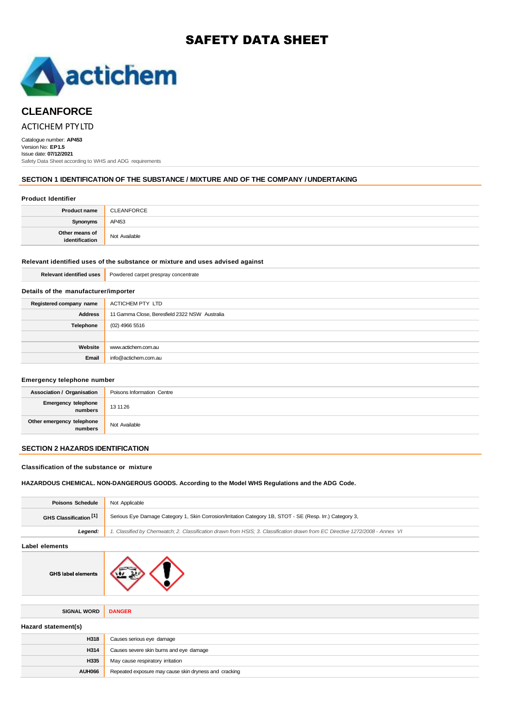# SAFETY DATA SHEET



# **CLEANFORCE**

# ACTICHEM PTYLTD

Catalogue number: **AP453** Version No: **EP1.5** Issue date: **07/12/2021** Safety Data Sheet according to WHS and ADG requirements

### **SECTION 1 IDENTIFICATION OF THE SUBSTANCE / MIXTURE AND OF THE COMPANY / UNDERTAKING**

#### **Product Identifier**

| <b>Product name</b>              | CLEANFORCE    |
|----------------------------------|---------------|
| Synonyms                         | AP453         |
| Other means of<br>identification | Not Available |

#### **Relevant identified uses of the substance or mixture and uses advised against**

| <b>Relevant identified uses</b>      | Powdered carpet prespray concentrate          |  |
|--------------------------------------|-----------------------------------------------|--|
| Details of the manufacturer/importer |                                               |  |
| Registered company name              | ACTICHEM PTY LTD                              |  |
| <b>Address</b>                       | 11 Gamma Close, Beresfield 2322 NSW Australia |  |
| Telephone                            | $(02)$ 4966 5516                              |  |
|                                      |                                               |  |
| Website                              | www.actichem.com.au                           |  |
| Email                                | info@actichem.com.au                          |  |
|                                      |                                               |  |

#### **Emergency telephone number**

| <b>Association / Organisation</b>    | Poisons Information Centre |
|--------------------------------------|----------------------------|
| Emergency telephone<br>numbers       | 13 11 26                   |
| Other emergency telephone<br>numbers | Not Available              |

# **SECTION 2 HAZARDS IDENTIFICATION**

#### **Classification of the substance or mixture**

#### **HAZARDOUS CHEMICAL. NON-DANGEROUS GOODS. According to the Model WHS Regulations and the ADG Code.**

| <b>Poisons Schedule</b>           | Not Applicable                                                                                                                |  |
|-----------------------------------|-------------------------------------------------------------------------------------------------------------------------------|--|
| GHS Classification <sup>[1]</sup> | Serious Eye Damage Category 1, Skin Corrosion/Irritation Category 1B, STOT - SE (Resp. Irr.) Category 3,                      |  |
| Legend:                           | 1. Classified by Chemwatch; 2. Classification drawn from HSIS; 3. Classification drawn from EC Directive 1272/2008 - Annex VI |  |
| Label elements                    |                                                                                                                               |  |
| <b>GHS label elements</b>         |                                                                                                                               |  |
| <b>SIGNAL WORD</b>                | <b>DANGER</b>                                                                                                                 |  |
| Hazard statement(s)               |                                                                                                                               |  |
| H318                              | Causes serious eye damage                                                                                                     |  |
| H314                              | Causes severe skin burns and eye damage                                                                                       |  |
| H335                              | May cause respiratory irritation                                                                                              |  |
| <b>AUH066</b>                     | Repeated exposure may cause skin dryness and cracking                                                                         |  |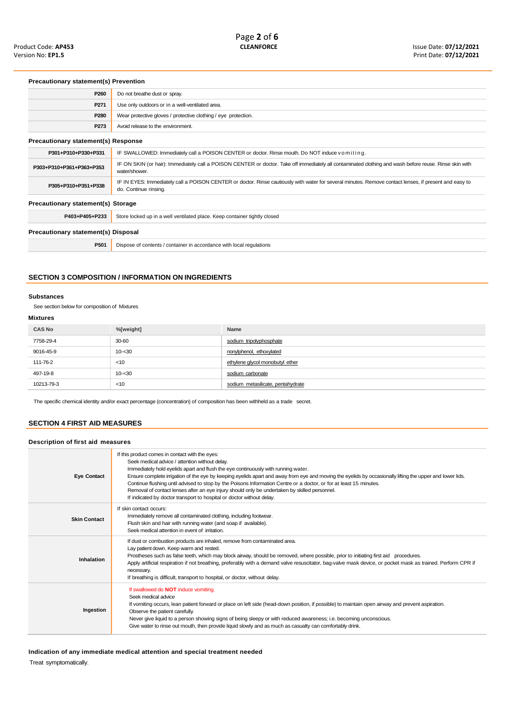# **Precautionary statement(s) Prevention**

| P260                                       | Do not breathe dust or spray.                                                                                                                                                   |  |
|--------------------------------------------|---------------------------------------------------------------------------------------------------------------------------------------------------------------------------------|--|
| P271                                       | Use only outdoors or in a well-ventilated area.                                                                                                                                 |  |
| P <sub>280</sub>                           | Wear protective gloves / protective clothing / eye protection.                                                                                                                  |  |
| P273                                       | Avoid release to the environment.                                                                                                                                               |  |
| <b>Precautionary statement(s) Response</b> |                                                                                                                                                                                 |  |
| P301+P310+P330+P331                        | IF SWALLOWED: Immediately call a POISON CENTER or doctor. Rinse mouth. Do NOT induce vomiting.                                                                                  |  |
| P303+P310+P361+P363+P353                   | IF ON SKIN (or hair): Immediately call a POISON CENTER or doctor. Take off immediately all contaminated dothing and wash before reuse. Rinse skin with<br>water/shower.         |  |
| P305+P310+P351+P338                        | IF IN EYES: Immediately call a POISON CENTER or doctor. Rinse cautiously with water for several minutes. Remove contact lenses, if present and easy to<br>do. Continue rinsing. |  |
| Precautionary statement(s) Storage         |                                                                                                                                                                                 |  |
| P403+P405+P233                             | Store locked up in a well ventilated place. Keep container tightly closed                                                                                                       |  |
| Precautionary statement(s) Disposal        |                                                                                                                                                                                 |  |
| P501                                       | Dispose of contents / container in accordance with local regulations                                                                                                            |  |
|                                            |                                                                                                                                                                                 |  |

## **SECTION 3 COMPOSITION / INFORMATION ON INGREDIENTS**

#### **Substances**

See section below for composition of Mixtures

# **Mixtures**

| <b>CAS No</b> | %[weight] | Name                              |
|---------------|-----------|-----------------------------------|
| 7758-29-4     | 30-60     | sodium tripolyphosphate           |
| 9016-45-9     | $10 - 30$ | nonylphenol, ethoxylated          |
| 111-76-2      | $<$ 10    | ethylene glycol monobutyl ether   |
| 497-19-8      | $10 - 30$ | sodium carbonate                  |
| 10213-79-3    | < 10      | sodium metasilicate, pentahydrate |

The specific chemical identity and/or exact percentage (concentration) of composition has been withheld as a trade secret.

# **SECTION 4 FIRST AID MEASURES**

# **Description of first aid measures**

| <b>Eye Contact</b>  | If this product comes in contact with the eyes:<br>Seek medical advice / attention without delay.<br>Immediately hold eyelids apart and flush the eye continuously with running water.<br>Ensure complete irrigation of the eye by keeping eyelids apart and away from eye and moving the eyelids by occasionally lifting the upper and lower lids.<br>Continue flushing until advised to stop by the Poisons Information Centre or a doctor, or for at least 15 minutes.<br>Removal of contact lenses after an eye injury should only be undertaken by skilled personnel.<br>If indicated by doctor transport to hospital or doctor without delay. |
|---------------------|-----------------------------------------------------------------------------------------------------------------------------------------------------------------------------------------------------------------------------------------------------------------------------------------------------------------------------------------------------------------------------------------------------------------------------------------------------------------------------------------------------------------------------------------------------------------------------------------------------------------------------------------------------|
| <b>Skin Contact</b> | If skin contact occurs:<br>Immediately remove all contaminated clothing, including footwear.<br>Flush skin and hair with running water (and soap if available).<br>Seek medical attention in event of irritation.                                                                                                                                                                                                                                                                                                                                                                                                                                   |
| Inhalation          | If dust or combustion products are inhaled, remove from contaminated area.<br>Lay patient down. Keep warm and rested.<br>Prostheses such as false teeth, which may block airway, should be removed, where possible, prior to initiating first aid procedures.<br>Apply artificial respiration if not breathing, preferably with a demand valve resuscitator, bag-valve mask device, or pocket mask as trained. Perform CPR if<br>necessary.<br>If breathing is difficult, transport to hospital, or doctor, without delay.                                                                                                                          |
| Ingestion           | If swallowed do <b>NOT</b> induce vomiting.<br>Seek medical advice<br>If vomiting occurs, lean patient forward or place on left side (head-down position, if possible) to maintain open airway and prevent aspiration.<br>Observe the patient carefully.<br>Never give liquid to a person showing signs of being sleepy or with reduced awareness; i.e. becoming unconscious.<br>Give water to rinse out mouth, then provide liquid slowly and as much as casualty can comfortably drink.                                                                                                                                                           |

**Indication of any immediate medical attention and special treatment needed**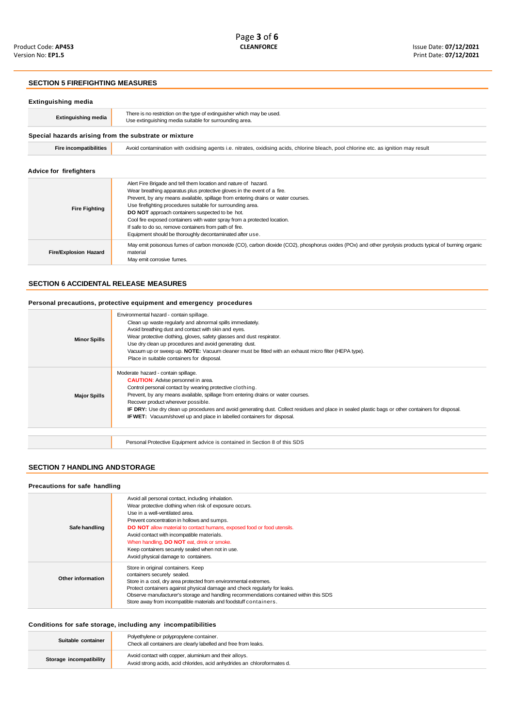#### **SECTION 5 FIREFIGHTING MEASURES**

| Extinguishing media                                   |                                                                                                                                                                                                                                                                                                                                                                                                                                                                                                                                                   |  |
|-------------------------------------------------------|---------------------------------------------------------------------------------------------------------------------------------------------------------------------------------------------------------------------------------------------------------------------------------------------------------------------------------------------------------------------------------------------------------------------------------------------------------------------------------------------------------------------------------------------------|--|
| <b>Extinguishing media</b>                            | There is no restriction on the type of extinguisher which may be used.<br>Use extinguishing media suitable for surrounding area.                                                                                                                                                                                                                                                                                                                                                                                                                  |  |
| Special hazards arising from the substrate or mixture |                                                                                                                                                                                                                                                                                                                                                                                                                                                                                                                                                   |  |
| <b>Fire incompatibilities</b>                         | Avoid contamination with oxidising agents i.e. nitrates, oxidising acids, chlorine bleach, pool chlorine etc. as ignition may result                                                                                                                                                                                                                                                                                                                                                                                                              |  |
| Advice for firefighters                               |                                                                                                                                                                                                                                                                                                                                                                                                                                                                                                                                                   |  |
| <b>Fire Fighting</b>                                  | Alert Fire Brigade and tell them location and nature of hazard.<br>Wear breathing apparatus plus protective gloves in the event of a fire.<br>Prevent, by any means available, spillage from entering drains or water courses.<br>Use firefighting procedures suitable for surrounding area.<br>DO NOT approach containers suspected to be hot.<br>Cool fire exposed containers with water spray from a protected location.<br>If safe to do so, remove containers from path of fire.<br>Equipment should be thoroughly decontaminated after use. |  |
| <b>Fire/Explosion Hazard</b>                          | May emit poisonous fumes of carbon monoxide (CO), carbon dioxide (CO2), phosphorus oxides (POx) and other pyrolysis products typical of burning organic<br>material<br>May emit corrosive fumes.                                                                                                                                                                                                                                                                                                                                                  |  |

# **SECTION 6 ACCIDENTAL RELEASE MEASURES**

#### **Personal precautions, protective equipment and emergency procedures**

|                     | Environmental hazard - contain spillage.                                                                                                           |
|---------------------|----------------------------------------------------------------------------------------------------------------------------------------------------|
|                     | Clean up waste regularly and abnormal spills immediately.                                                                                          |
|                     | Avoid breathing dust and contact with skin and eyes.                                                                                               |
| <b>Minor Spills</b> | Wear protective clothing, gloves, safety glasses and dust respirator.                                                                              |
|                     | Use dry clean up procedures and avoid generating dust.                                                                                             |
|                     | Vacuum up or sweep up. <b>NOTE:</b> Vacuum cleaner must be fitted with an exhaust micro filter (HEPA type).                                        |
|                     | Place in suitable containers for disposal.                                                                                                         |
|                     | Moderate hazard - contain spillage.                                                                                                                |
|                     | <b>CAUTION:</b> Advise personnel in area.                                                                                                          |
|                     | Control personal contact by wearing protective clothing.                                                                                           |
| <b>Major Spills</b> | Prevent, by any means available, spillage from entering drains or water courses.                                                                   |
|                     | Recover product wherever possible.                                                                                                                 |
|                     | IF DRY: Use dry clean up procedures and avoid generating dust. Collect residues and place in sealed plastic bags or other containers for disposal. |
|                     | <b>IF WET:</b> Vacuum/shovel up and place in labelled containers for disposal.                                                                     |
|                     |                                                                                                                                                    |
|                     |                                                                                                                                                    |
|                     | Personal Protective Equipment advice is contained in Section 8 of this SDS                                                                         |

# **SECTION 7 HANDLING ANDSTORAGE**

## **Precautions for safe handling**

| Safe handling     | Avoid all personal contact, including inhalation.<br>Wear protective clothing when risk of exposure occurs.<br>Use in a well-ventilated area.<br>Prevent concentration in hollows and sumps.<br><b>DO NOT</b> allow material to contact humans, exposed food or food utensils.<br>Avoid contact with incompatible materials.<br>When handling, DO NOT eat, drink or smoke.<br>Keep containers securely sealed when not in use.<br>Avoid physical damage to containers. |
|-------------------|------------------------------------------------------------------------------------------------------------------------------------------------------------------------------------------------------------------------------------------------------------------------------------------------------------------------------------------------------------------------------------------------------------------------------------------------------------------------|
| Other information | Store in original containers. Keep<br>containers securely sealed.<br>Store in a cool, dry area protected from environmental extremes.<br>Protect containers against physical damage and check regularly for leaks.<br>Observe manufacturer's storage and handling recommendations contained within this SDS<br>Store away from incompatible materials and foodstuff containers.                                                                                        |

#### **Conditions for safe storage, including any incompatibilities**

| Suitable container      | Polyethylene or polypropylene container.<br>Check all containers are clearly labelled and free from leaks.                         |
|-------------------------|------------------------------------------------------------------------------------------------------------------------------------|
| Storage incompatibility | Avoid contact with copper, aluminium and their alloys.<br>Avoid strong acids, acid chlorides, acid anhydrides an chloroformates d. |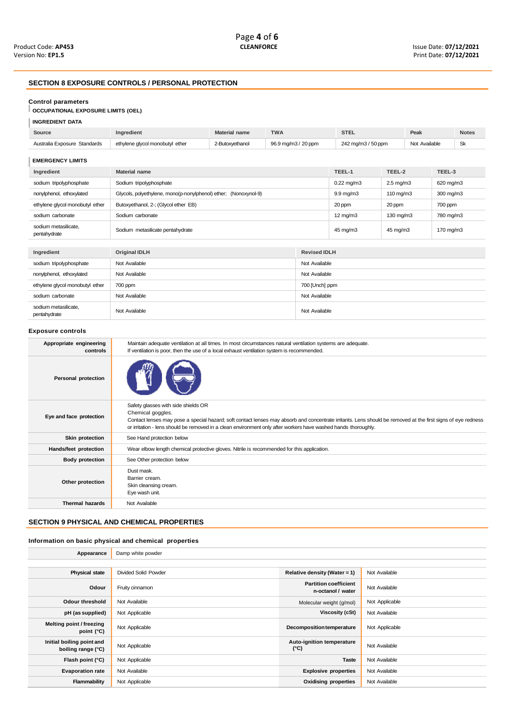# **SECTION 8 EXPOSURE CONTROLS / PERSONAL PROTECTION**

#### **Control parameters**

# **OCCUPATIONAL EXPOSURE LIMITS (OEL)**

| <b>INGREDIENT DATA</b> |
|------------------------|
|------------------------|

| Source                               | Ingredient                                                      | <b>Material name</b> | <b>TWA</b>          |                    | <b>STEL</b>          |        | Peak               |        | <b>Notes</b> |
|--------------------------------------|-----------------------------------------------------------------|----------------------|---------------------|--------------------|----------------------|--------|--------------------|--------|--------------|
| Australia Exposure Standards         | ethylene glycol monobutyl ether                                 | 2-Butoxyethanol      | 96.9 mg/m3 / 20 ppm |                    | 242 mg/m3 / 50 ppm   |        | Not Available      |        | <b>Sk</b>    |
| <b>EMERGENCY LIMITS</b>              |                                                                 |                      |                     |                    |                      |        |                    |        |              |
| Ingredient                           | <b>Material name</b>                                            |                      |                     |                    | TEEL-1               | TEEL-2 |                    | TEEL-3 |              |
| sodium tripolyphosphate              | Sodium tripolyphosphate                                         |                      |                     | $0.22$ mg/m $3$    | $2.5 \text{ mg/m}$ 3 |        | 620 mg/m3          |        |              |
| nonylphenol, ethoxylated             | Glycols, polyethylene, mono(p-nonylphenol) ether; (Nonoxynol-9) |                      |                     | $9.9 \text{ mg/m}$ | $110 \text{ mg/m}$   |        | 300 mg/m3          |        |              |
| ethylene glycol monobutyl ether      | Butoxyethanol, 2-; (Glycol ether EB)                            |                      |                     | 20 ppm             | 20 ppm               |        | 700 ppm            |        |              |
| sodium carbonate                     | Sodium carbonate                                                |                      |                     | $12 \text{ mg/m}$  | 130 mg/m3            |        | 780 mg/m3          |        |              |
| sodium metasilicate,<br>pentahydrate | Sodium metasilicate pentahydrate                                |                      |                     | 45 mg/m3           | 45 mg/m3             |        | $170 \text{ mg/m}$ |        |              |
|                                      |                                                                 |                      |                     |                    |                      |        |                    |        |              |
| Ingredient                           | Original IDLH                                                   |                      | <b>Revised IDLH</b> |                    |                      |        |                    |        |              |
| sodium tripolyphosphate              | Not Available                                                   |                      | Not Available       |                    |                      |        |                    |        |              |
| nonylphenol, ethoxylated             | Not Available                                                   |                      | Not Available       |                    |                      |        |                    |        |              |
| ethylene glycol monobutyl ether      | 700 ppm                                                         |                      | 700 [Unch] ppm      |                    |                      |        |                    |        |              |
| sodium carbonate                     | Not Available                                                   |                      | Not Available       |                    |                      |        |                    |        |              |
| sodium metasilicate.<br>pentahydrate | Not Available                                                   |                      | Not Available       |                    |                      |        |                    |        |              |

#### **Exposure controls**

| Appropriate engineering<br>controls | Maintain adequate ventilation at all times. In most circumstances natural ventilation systems are adequate.<br>If ventilation is poor, then the use of a local exhaust ventilation system is recommended.                                                                                                                                  |
|-------------------------------------|--------------------------------------------------------------------------------------------------------------------------------------------------------------------------------------------------------------------------------------------------------------------------------------------------------------------------------------------|
| Personal protection                 |                                                                                                                                                                                                                                                                                                                                            |
| Eye and face protection             | Safety glasses with side shields OR<br>Chemical goggles.<br>Contact lenses may pose a special hazard; soft contact lenses may absorb and concentrate irritants. Lens should be removed at the first signs of eye redness<br>or irritation - lens should be removed in a clean environment only after workers have washed hands thoroughly. |
| Skin protection                     | See Hand protection below                                                                                                                                                                                                                                                                                                                  |
| Hands/feet protection               | Wear elbow length chemical protective gloves. Nitrile is recommended for this application.                                                                                                                                                                                                                                                 |
| <b>Body protection</b>              | See Other protection below                                                                                                                                                                                                                                                                                                                 |
| Other protection                    | Dust mask.<br>Barrier cream.<br>Skin cleansing cream.<br>Eye wash unit.                                                                                                                                                                                                                                                                    |
| <b>Thermal hazards</b>              | Not Available                                                                                                                                                                                                                                                                                                                              |
|                                     |                                                                                                                                                                                                                                                                                                                                            |

# **SECTION 9 PHYSICAL AND CHEMICAL PROPERTIES**

# **Information on basic physical and chemical properties**

| Appearance                                      | Damp white powder           |                                                   |                |
|-------------------------------------------------|-----------------------------|---------------------------------------------------|----------------|
|                                                 |                             |                                                   |                |
| <b>Physical state</b>                           | <b>Divided Solid Powder</b> | Relative density (Water = $1$ )                   | Not Available  |
| Odour                                           | Fruity cinnamon             | <b>Partition coefficient</b><br>n-octanol / water | Not Available  |
| <b>Odour threshold</b>                          | Not Available               | Molecular weight (g/mol)                          | Not Applicable |
| pH (as supplied)                                | Not Applicable              | Viscosity (cSt)                                   | Not Available  |
| Melting point / freezing<br>point (°C)          | Not Applicable              | <b>Decomposition temperature</b>                  | Not Applicable |
| Initial boiling point and<br>boiling range (°C) | Not Applicable              | Auto-ignition temperature<br>$(^{\circ}C)$        | Not Available  |
| Flash point (°C)                                | Not Applicable              | <b>Taste</b>                                      | Not Available  |
| <b>Evaporation rate</b>                         | Not Available               | <b>Explosive properties</b>                       | Not Available  |
| Flammability                                    | Not Applicable              | <b>Oxidising properties</b>                       | Not Available  |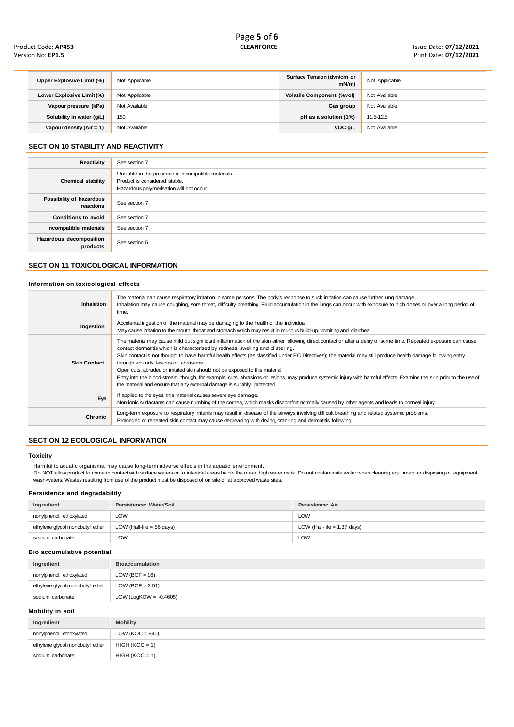| Upper Explosive Limit (%) | Not Applicable | Surface Tension (dyn/cm or<br>$mN/m$ ) | Not Applicable |
|---------------------------|----------------|----------------------------------------|----------------|
| Lower Explosive Limit (%) | Not Applicable | <b>Volatile Component (%vol)</b>       | Not Available  |
| Vapour pressure (kPa)     | Not Available  | Gas group                              | Not Available  |
| Solubility in water (g/L) | 150            | pH as a solution (1%)                  | 11.5-12.5      |
| Vapour density (Air = 1)  | Not Available  | VOC g/L                                | Not Available  |

# **SECTION 10 STABILITY AND REACTIVITY**

| Reactivity                            | See section 7                                                                                                                    |
|---------------------------------------|----------------------------------------------------------------------------------------------------------------------------------|
| Chemical stability                    | Unstable in the presence of incompatible materials.<br>Product is considered stable.<br>Hazardous polymerisation will not occur. |
| Possibility of hazardous<br>reactions | See section 7                                                                                                                    |
| <b>Conditions to avoid</b>            | See section 7                                                                                                                    |
| Incompatible materials                | See section 7                                                                                                                    |
| Hazardous decomposition<br>products   | See section 5                                                                                                                    |

# **SECTION 11 TOXICOLOGICAL INFORMATION**

#### **Information on toxicological effects**

| <b>Inhalation</b>   | The material can cause respiratory irritation in some persons. The body's response to such irritation can cause further lung damage.<br>Inhalation may cause coughing, sore throat, difficulty breathing. Fluid accumulation in the lungs can occur with exposure to high doses or over a long period of<br>time.                                                                                                                                                                                                                                                                                                                                                                                                                                                                           |
|---------------------|---------------------------------------------------------------------------------------------------------------------------------------------------------------------------------------------------------------------------------------------------------------------------------------------------------------------------------------------------------------------------------------------------------------------------------------------------------------------------------------------------------------------------------------------------------------------------------------------------------------------------------------------------------------------------------------------------------------------------------------------------------------------------------------------|
| Ingestion           | Accidental ingestion of the material may be damaging to the health of the individual.<br>May cause irritation to the mouth, throat and stomach which may result in mucous build-up, vomiting and diarrhea.                                                                                                                                                                                                                                                                                                                                                                                                                                                                                                                                                                                  |
| <b>Skin Contact</b> | The material may cause mild but significant inflammation of the skin either following direct contact or after a delay of some time. Repeated exposure can cause<br>contact dermatitis which is characterised by redness, swelling and blistering.<br>Skin contact is not thought to have harmful health effects (as classified under EC Directives); the material may still produce health damage following entry<br>through wounds, lesions or abrasions.<br>Open cuts, abraded or irritated skin should not be exposed to this material<br>Entry into the blood-stream, though, for example, cuts, abrasions or lesions, may produce systemic injury with harmful effects. Examine the skin prior to the useof<br>the material and ensure that any external damage is suitably. protected |
| Eye                 | If applied to the eyes, this material causes severe eye damage.<br>Non-ionic surfactants can cause numbing of the cornea, which masks discomfort normally caused by other agents and leads to corneal injury.                                                                                                                                                                                                                                                                                                                                                                                                                                                                                                                                                                               |
| <b>Chronic</b>      | Long-term exposure to respiratory irritants may result in disease of the airways involving difficult breathing and related systemic problems.<br>Prolonged or repeated skin contact may cause degreasing with drying, cracking and dermatitis following.                                                                                                                                                                                                                                                                                                                                                                                                                                                                                                                                    |

# **SECTION 12 ECOLOGICAL INFORMATION**

#### **Toxicity**

Harmful to aquatic organisms, may cause long-term adverse effects in the aquatic environment<mark>.</mark><br>Do NOT allow product to come in contact with surface waters or to intertidal areas below the mean high water mark. Do not cont wash-waters. Wastes resulting from use of the product must be disposed of on site or at approved waste sites.

# **Persistence and degradability**

| Ingredient                      | Persistence: Water/Soil     | Persistence: Air              |
|---------------------------------|-----------------------------|-------------------------------|
| nonylphenol, ethoxylated        | ∟OW                         | <b>LOW</b>                    |
| ethylene glycol monobutyl ether | LOW (Half-life $=$ 56 days) | LOW (Half-life $= 1.37$ days) |
| sodium carbonate                | LOW.                        | <b>LOW</b>                    |

#### **Bio accumulative potential**

| Ingredient                      | <b>Bioaccumulation</b>    |
|---------------------------------|---------------------------|
| nonylphenol, ethoxylated        | $LOW (BCF = 16)$          |
| ethylene glycol monobutyl ether | LOW (BCF = $2.51$ )       |
| sodium carbonate                | LOW (LogKOW = $-0.4605$ ) |

**Mobility in soil**

| Ingredient                      | <b>Mobility</b>     |
|---------------------------------|---------------------|
| nonylphenol, ethoxylated        | LOW ( $KOC = 940$ ) |
| ethylene glycol monobutyl ether | $HIGH (KOC = 1)$    |
| sodium carbonate                | $HIGH (KOC = 1)$    |